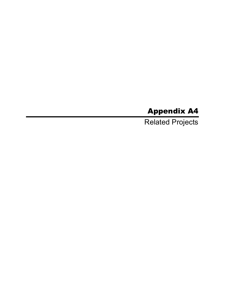## Appendix A4

Related Projects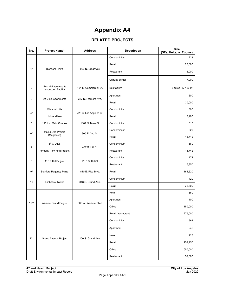## **Appendix A4**

## **RELATED PROJECTS**

| No.             | Project Name <sup>a</sup>                                  | <b>Address</b>                                      | <b>Description</b>  | <b>Size</b><br>(SFs, Units, or Rooms) |
|-----------------|------------------------------------------------------------|-----------------------------------------------------|---------------------|---------------------------------------|
|                 |                                                            |                                                     | Condominium         | 223                                   |
|                 |                                                            |                                                     | Retail              | 25,000                                |
| 1 <sup>b</sup>  | <b>Blossom Plaza</b>                                       | 900 N. Broadway                                     | Restaurant          | 15,000                                |
|                 |                                                            |                                                     | Cultural center     | 7,000                                 |
| 2               | <b>Bus Maintenance &amp;</b><br><b>Inspection Facility</b> | 454 E. Commercial St.                               | <b>Bus facility</b> | 2 acres (87,120 sf)                   |
|                 |                                                            |                                                     | Apartment           | 600                                   |
| 3               | Da Vinci Apartments                                        | 327 N. Fremont Ave.                                 | Retail              | 30,000                                |
|                 | Vibiana Lofts                                              |                                                     | Condominium         | 300                                   |
| 4 <sup>b</sup>  | (Mixed-Use)                                                | 225 S. Los Angeles St.                              | Retail              | 3,400                                 |
| 5               | 1101 N. Main Condos                                        | 1101 N. Main St.                                    | Condominium         | 316                                   |
|                 | Mixed-Use Project                                          |                                                     | Condominium         | 320                                   |
| 6 <sup>b</sup>  | (Megatoys)                                                 | 905 E. 2nd St.                                      | Retail              | 18,712                                |
|                 | 5 <sup>th</sup> & Olive                                    |                                                     | Condominium         | 660                                   |
| $\overline{7}$  | (formerly Park Fifth Project)                              | 437 S. Hill St.                                     | Restaurant          | 13,742                                |
|                 |                                                            | 11 <sup>th</sup> & Hill Project<br>1115 S. Hill St. | Condominium         | 172                                   |
| 8               |                                                            |                                                     | Restaurant          | 6,850                                 |
| 9 <sup>b</sup>  | Stanford Regency Plaza                                     | 810 E. Pico Blvd.                                   | Retail              | 181,620                               |
| 10              | <b>Embassy Tower</b>                                       | 848 S. Grand Ave.                                   | Condominium         | 420                                   |
|                 |                                                            |                                                     | Retail              | 38,500                                |
|                 |                                                            |                                                     | Hotel               | 560                                   |
| $11^{b,c}$      |                                                            | 900 W. Wilshire Blvd.                               | Apartment           | 100                                   |
|                 | Wilshire Grand Project                                     |                                                     | Office              | 150,000                               |
|                 |                                                            |                                                     | Retail / restaurant | 275,000                               |
|                 |                                                            |                                                     | Condominium         | 968                                   |
|                 |                                                            |                                                     | Apartment           | 242                                   |
| 12 <sup>d</sup> | <b>Grand Avenue Project</b>                                | 100 S. Grand Ave.                                   | Hotel               | 225                                   |
|                 |                                                            |                                                     | Retail              | 152,150                               |
|                 |                                                            |                                                     | Office              | 650,000                               |
|                 |                                                            |                                                     | Restaurant          | 52,000                                |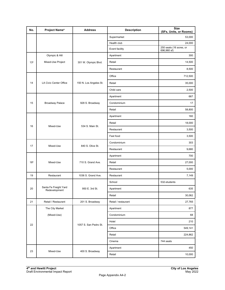| No.             | Project Name <sup>a</sup>              | <b>Address</b>         | <b>Description</b>  | <b>Size</b><br>(SFs, Units, or Rooms)  |
|-----------------|----------------------------------------|------------------------|---------------------|----------------------------------------|
|                 |                                        |                        | Supermarket         | 53,000                                 |
|                 |                                        |                        | Health club         | 24,000                                 |
|                 |                                        |                        | Event facility      | 250 seats (16 acres, or<br>696,960 sf) |
|                 | Olympic & Hill                         |                        | Apartment           | 300                                    |
| 13 <sup>b</sup> | Mixed-Use Project                      | 301 W. Olympic Blvd.   | Retail              | 14,500                                 |
|                 |                                        |                        | Restaurant          | 8,500                                  |
|                 |                                        |                        | Office              | 712,500                                |
| 14              | LA Civic Center Office                 | 150 N. Los Angeles St. | Retail              | 35,000                                 |
|                 |                                        |                        | Child care          | 2,500                                  |
|                 |                                        |                        | Apartment           | 667                                    |
| 15              | <b>Broadway Palace</b>                 | 928 S. Broadway        | Condominium         | 17                                     |
|                 |                                        |                        | Retail              | 58,800                                 |
|                 |                                        |                        | Apartment           | 160                                    |
|                 |                                        | 534 S. Main St.        | Retail              | 18,000                                 |
| 16              | Mixed-Use                              |                        | Restaurant          | 3,500                                  |
|                 |                                        | Fast food              | 3,500               |                                        |
| 17              | Mixed-Use                              | 840 S. Olive St.       | Condominium         | 303                                    |
|                 |                                        |                        | Restaurant          | 9,680                                  |
|                 |                                        |                        | Apartment           | 700                                    |
| 18 <sup>b</sup> | Mixed-Use                              | 710 S. Grand Ave.      | Retail              | 27,000                                 |
|                 |                                        |                        | Restaurant          | 5,000                                  |
| 19              | Restaurant                             | 1036 S. Grand Ave.     | Restaurant          | 7,149                                  |
|                 |                                        |                        | School              | 532-students                           |
| 20              | Santa Fe Freight Yard<br>Redevelopment | 950 E. 3rd St.         | Apartment           | 635                                    |
|                 |                                        |                        | Retail              | 30,062                                 |
| 21              | Retail / Restaurant                    | 201 S. Broadway        | Retail / restaurant | 27,765                                 |
|                 | The City Market                        |                        | Apartment           | 877                                    |
|                 | (Mixed-Use)                            |                        | Condominium         | 68                                     |
| 22              |                                        | 1057 S. San Pedro St.  | Hotel               | 210                                    |
|                 |                                        |                        | Office              | 549,141                                |
|                 |                                        |                        | Retail              | 224,862                                |
|                 |                                        |                        | Cinema              | 744 seats                              |
| 23              |                                        |                        | Apartment           | 450                                    |
|                 | Mixed-Use                              | 400 S. Broadway        | Retail              | 10,000                                 |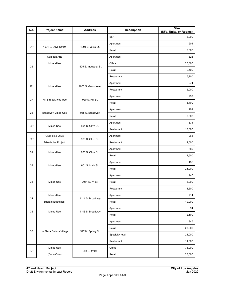| No.             | Project Name <sup>a</sup>          | <b>Address</b>              | <b>Description</b> | <b>Size</b><br>(SFs, Units, or Rooms) |
|-----------------|------------------------------------|-----------------------------|--------------------|---------------------------------------|
|                 |                                    |                             | Bar                | 5,000                                 |
| 24 <sup>b</sup> | 1001 S. Olive Street               | 1001 S. Olive St.           | Apartment          | 201                                   |
|                 |                                    |                             | Retail             | 5,000                                 |
|                 | Camden Arts                        |                             | Apartment          | 328                                   |
| 25              | Mixed-Use                          | 1525 E. Industrial St.      | Office             | 27,300                                |
|                 |                                    |                             | Retail             | 6,400                                 |
|                 |                                    |                             | Restaurant         | 5,700                                 |
|                 |                                    |                             | Apartment          | 274                                   |
| 26 <sup>b</sup> | Mixed-Use                          | 1000 S. Grand Ave.          | Restaurant         | 12,000                                |
|                 |                                    |                             | Apartment          | 239                                   |
| 27              | Hill Street Mixed-Use              | 920 S. Hill St.             | Retail             | 5,400                                 |
|                 |                                    |                             | Apartment          | 201                                   |
| 28              | <b>Broadway Mixed-Use</b>          | 955 S. Broadway             | Retail             | 6,000                                 |
|                 |                                    |                             | Apartment          | 331                                   |
| 29 <sup>b</sup> | Mixed-Use                          | 801 S. Olive St.            | Restaurant         | 10,000                                |
|                 | Olympic & Olive                    | 960 S. Olive St.            | Apartment          | 263                                   |
| 30 <sup>b</sup> | Mixed-Use Project                  |                             | Restaurant         | 14,500                                |
|                 |                                    |                             | Apartment          | 589                                   |
| 31<br>Mixed-Use |                                    | 820 S. Olive St.            | Retail             | 4,500                                 |
|                 | 32<br>Mixed-Use<br>601 S. Main St. | Apartment                   | 452                |                                       |
|                 |                                    | Retail                      | 25,000             |                                       |
|                 |                                    | 2051 E. 7 <sup>th</sup> St. | Apartment          | 240                                   |
| 33              | Mixed-Use                          |                             | Retail             | 8,000                                 |
|                 |                                    |                             | Restaurant         | 3,500                                 |
| 34              | Mixed-Use                          |                             | Apartment          | 214                                   |
|                 | (Herald Examiner)                  | 1111 S. Broadway            | Retail             | 10,000                                |
| 35              |                                    |                             | Apartment          | 94                                    |
|                 | Mixed-Use                          | 1148 S. Broadway            | Retail             | 2,500                                 |
|                 |                                    |                             | Apartment          | 345                                   |
|                 |                                    |                             | Retail             | 23,000                                |
| 36              | La Plaza Cultura Village           | 527 N. Spring St.           | Specialty retail   | 21,000                                |
|                 |                                    |                             | Restaurant         | 11,000                                |
| 37 <sup>b</sup> | Mixed-Use                          |                             | Office             | 75,000                                |
|                 | (Coca Cola)                        | 963 E. 4 <sup>th</sup> St.  | Retail             | 25,000                                |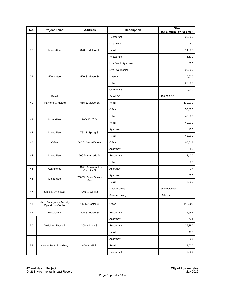| No. | Project Name <sup>a</sup>                     | <b>Address</b>                     | <b>Description</b>     | <b>Size</b><br>(SFs, Units, or Rooms) |
|-----|-----------------------------------------------|------------------------------------|------------------------|---------------------------------------|
|     |                                               |                                    | Restaurant             | 20,000                                |
|     |                                               |                                    | Live / work            | 90                                    |
| 38  | Mixed-Use                                     | 826 S. Mateo St.                   | Retail                 | 11,000                                |
|     |                                               |                                    | Restaurant             | 5,600                                 |
|     |                                               |                                    | Live / work Apartment  | 600                                   |
|     |                                               |                                    | Live / work office     | 90,000                                |
| 39  | 520 Mateo                                     | 520 S. Mateo St.                   | Museum                 | 10,000                                |
|     |                                               |                                    | Office                 | 20,000                                |
|     |                                               |                                    | Commercial             | 30,000                                |
|     | Retail                                        |                                    | Retail OR              | 153,000 OR                            |
| 40  | (Palmetto & Mateo)                            | 555 S. Mateo St.                   | Retail                 | 130,000                               |
|     |                                               |                                    | Office                 | 50,000                                |
|     |                                               | 2030 E. 7th St.                    | Office                 | 243,000                               |
| 41  | Mixed-Use                                     |                                    | Retail                 | 40,000                                |
|     |                                               | 732 S. Spring St.                  | Apartment              | 400                                   |
| 42  | Mixed-Use                                     |                                    | Retail                 | 15,000                                |
| 43  | Office                                        | 540 S. Santa Fe Ave.               | Office                 | 65,812                                |
|     | Mixed-Use                                     | 360 S. Alameda St.                 | Apartment              | 52                                    |
| 44  |                                               |                                    | Restaurant             | 2,400                                 |
|     |                                               |                                    | Office                 | 6,900                                 |
| 45  | Apartments                                    | 118 S. Astronaut ES<br>Onizuka St. | Apartment              | 77                                    |
| 46  | Mixed-Use                                     | 700 W. Cesar Chavez                | Apartment              | 300                                   |
|     |                                               | Ave.                               | Retail                 | 8,000                                 |
|     |                                               |                                    | Medical office         | 66 employees                          |
| 47  | Clinic at 7 <sup>th</sup> & Wall              | 649 S. Wall St.                    | <b>Assisted Living</b> | 55 beds                               |
| 48  | Metro Emergency Security<br>Operations Center | 410 N. Center St.                  | Office                 | 110,000                               |
| 49  | Restaurant                                    | 500 S. Mateo St.                   | Restaurant             | 12,682                                |
|     |                                               |                                    | Apartment              | 471                                   |
| 50  | <b>Medallion Phase 2</b>                      | 300 S. Main St.                    | Restaurant             | 27,780                                |
|     |                                               |                                    | Retail                 | 5,190                                 |
|     |                                               |                                    | Apartment              | 305                                   |
| 51  | Alexan South Broadway                         | 850 S. Hill St.                    | Retail                 | 3,500                                 |
|     |                                               |                                    | Restaurant             | 3,500                                 |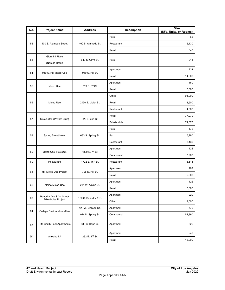| No.             | Project Name <sup>a</sup>            | <b>Address</b>              | <b>Description</b> | <b>Size</b><br>(SFs, Units, or Rooms) |
|-----------------|--------------------------------------|-----------------------------|--------------------|---------------------------------------|
|                 | 400 S. Alameda Street                |                             | Hotel              | 66                                    |
| 52              |                                      | 400 S. Alameda St.          | Restaurant         | 2,130                                 |
|                 |                                      |                             | Retail             | 840                                   |
|                 | Giannini Place                       |                             |                    |                                       |
| 53              | (Nomad Hotel)                        | 649 S. Olive St.            | Hotel              | 241                                   |
| 54              | 940 S. Hill Mixed-Use                | 940 S. Hill St.             | Apartment          | 232                                   |
|                 |                                      |                             | Retail             | 14,000                                |
| 55              | Mixed Use                            | 719 E. 5 <sup>th</sup> St.  | Apartment          | 160                                   |
|                 |                                      |                             | Retail             | 7,500                                 |
|                 |                                      |                             | Office             | 94,000                                |
| 56              | Mixed-Use                            | 2130 E. Violet St.          | Retail             | 3,500                                 |
|                 |                                      |                             | Restaurant         | 4,000                                 |
|                 |                                      |                             | Retail             | 37,979                                |
| 57              | Mixed-Use (Private Club)             | 929 E. 2nd St.              | Private club       | 71,078                                |
|                 |                                      | 633 S. Spring St.           | Hotel              | 176                                   |
| 58              | <b>Spring Street Hotel</b>           |                             | Bar                | 5,290                                 |
|                 |                                      |                             | Restaurant         | 8,430                                 |
|                 |                                      |                             | Apartment          | 122                                   |
| 59              | Mixed Use (Revised)                  | 1800 E. 7 <sup>th</sup> St. | Commercial         | 7,900                                 |
| 60              | Restaurant                           | 1722 E. 16th St.            | Restaurant         | 8,515                                 |
|                 |                                      | 708 N. Hill St.             | Apartment          | 162                                   |
| 61              | Hill Mixed Use Project               |                             | Retail             | 5,000                                 |
|                 |                                      |                             | Apartment          | 122                                   |
| 62              | Alpine Mixed-Use                     | 211 W. Alpine St.           | Retail             | 7,500                                 |
|                 | Beaudry Ave & 2 <sup>nd</sup> Street |                             | Apartment          | 220                                   |
| 63              | Mixed-Use Project                    | 130 S. Beaudry Ave.         | Other              | 9,000                                 |
|                 |                                      | 129 W. College St.,         | Apartment          | 770                                   |
| 64              | College Station Mixed-Use            | 924 N. Spring St.           | Commercial         | 51,390                                |
| 65              | CIM South Park Apartments            | 888 S. Hope St.             | Apartment          | 526                                   |
|                 |                                      |                             | Apartment          | 240                                   |
| 66 <sup>b</sup> | Wakaba LA                            | 232 E. 2 <sup>nd</sup> St.  | Retail             | 16,000                                |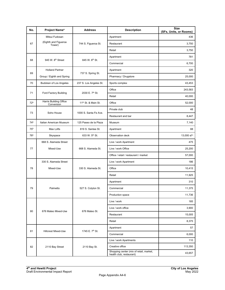| No.             | Project Name <sup>a</sup>                        | <b>Address</b>                  | <b>Description</b>                                                  | <b>Size</b><br>(SFs, Units, or Rooms) |
|-----------------|--------------------------------------------------|---------------------------------|---------------------------------------------------------------------|---------------------------------------|
|                 | Mitsui Fudosan<br>(Eighth and Figueroa<br>Tower) |                                 | Apartment                                                           | 436                                   |
| 67              |                                                  | 744 S. Figueroa St.             | Restaurant                                                          | 3,750                                 |
|                 |                                                  |                                 | Retail                                                              | 3,750                                 |
|                 |                                                  | 845 W. 8th St.                  | Apartment                                                           | 781                                   |
| 68              | 945 W. 8 <sup>th</sup> Street                    |                                 | Commercial                                                          | 6,700                                 |
| 69              | <b>Holland Partner</b>                           |                                 | Apartment                                                           | 320                                   |
|                 | Group / Eighth and Spring                        | 737 S. Spring St.               | Pharmacy / Drugstore                                                | 25,000                                |
| 70              | Budokan of Los Angeles                           | 237 S. Los Angeles St.          | Sports complex                                                      | 43,453                                |
| 71              | Ford Factory Building                            | 2030 E. 7 <sup>th</sup> St.     | Office                                                              | 243,583                               |
|                 |                                                  |                                 | Retail                                                              | 40,000                                |
| 72 <sup>b</sup> | Harris Building Office<br>Conversion             | 11 <sup>th</sup> St. & Main St. | Office                                                              | 52,000                                |
| 73              | Soho House                                       | 1000 S. Santa Fe Ave.           | Private club                                                        | 48                                    |
|                 |                                                  |                                 | Restaurant and bar                                                  | 8,447                                 |
| 74 <sup>b</sup> | Italian American Museum                          | 125 Paseo de la Plaza           | Museum                                                              | 7,140                                 |
| 75 <sup>b</sup> | Max Lofts                                        | 819 S. Santee St.               | Apartment                                                           | 88                                    |
| 76 <sup>b</sup> | Skyspace                                         | 633 W. 5th St.                  | Observation deck                                                    | 13,000 sf <sup>e</sup>                |
|                 | 668 S. Alameda Street                            |                                 | Live / work Apartment                                               | 475                                   |
| 77              | Mixed-Use                                        | 668 S. Alameda St.              | Live / work Office                                                  | 25,200                                |
|                 |                                                  |                                 | Office / retail / restaurant / market                               | 57,000                                |
|                 | 330 S. Alameda Street                            |                                 | Live / work Apartment                                               | 186                                   |
| 78              | Mixed-Use                                        | 330 S. Alameda St.              | Office                                                              | 10,415                                |
|                 |                                                  |                                 | Retail                                                              | 11,925                                |
|                 |                                                  |                                 | Apartment                                                           | 310                                   |
| 79              | Palmetto                                         | 527 S. Colyton St.              | Commercial                                                          | 11,375                                |
|                 |                                                  |                                 | Production space                                                    | 11,736                                |
|                 |                                                  |                                 | Live / work                                                         | 185                                   |
| 80              | 676 Mateo Mixed-Use                              | 676 Mateo St.                   | Live / work office                                                  | 3,900                                 |
|                 |                                                  |                                 | Restaurant                                                          | 15,005                                |
|                 |                                                  |                                 | Retail                                                              | 8,375                                 |
|                 |                                                  |                                 | Apartment                                                           | 57                                    |
| 81              | <b>Hillcrest Mixed-Use</b>                       | 1745 E. 7 <sup>th</sup> St.     | Commercial                                                          | 6,000                                 |
|                 |                                                  |                                 | Live / work Apartments                                              | 110                                   |
| 82              | 2110 Bay Street                                  | 2110 Bay St.                    | Creative office                                                     | 113,350                               |
|                 |                                                  |                                 | Shopping center (mix of retail, market,<br>health club, restaurant) | 43,657                                |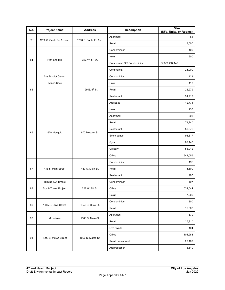| No.             | Project Name <sup>a</sup>   | <b>Address</b>             | <b>Description</b>        | <b>Size</b><br>(SFs, Units, or Rooms) |
|-----------------|-----------------------------|----------------------------|---------------------------|---------------------------------------|
| 83 <sup>b</sup> | 1200 S. Santa Fe Avenue     | 1200 S. Santa Fe Ave.      | Apartment                 | 53                                    |
|                 |                             |                            | Retail                    | 13,000                                |
|                 |                             |                            | Condominium               | 100                                   |
|                 |                             |                            | Hotel                     | 200                                   |
| 84              | Fifth and Hill              | 333 W. 5 <sup>th</sup> St. | Commercial OR Condominium | 27,500 OR 142                         |
|                 |                             |                            | Commercial                | 25,000                                |
|                 | <b>Arts District Center</b> |                            | Condominium               | 129                                   |
|                 | (Mixed-Use)                 |                            | Hotel                     | 113                                   |
| 85              |                             | 1129 E. 5th St.            | Retail                    | 26,979                                |
|                 |                             |                            | Restaurant                | 31,719                                |
|                 |                             |                            | Art space                 | 12,771                                |
|                 |                             |                            | Hotel                     | 236                                   |
|                 |                             | 670 Mesquit St.            | Apartment                 | 308                                   |
|                 | 670 Mesquit                 |                            | Retail                    | 79,240                                |
|                 |                             |                            | Restaurant                | 89,576                                |
| 86              |                             |                            | Event space               | 93,617                                |
|                 |                             |                            | Gym                       | 62,148                                |
|                 |                             |                            | Grocery                   | 56,912                                |
|                 |                             |                            | Office                    | 944,055                               |
|                 |                             |                            | Condominium               | 196                                   |
| 87              | 433 S. Main Street          | 433 S. Main St.            | Retail                    | 5,300                                 |
|                 |                             |                            | Restaurant                | 900                                   |
|                 | Tribune (LA Times)          |                            | Condominium               | 107                                   |
| 88              | South Tower Project         | 222 W. 2 <sup>nd</sup> St. | Office                    | 534,044                               |
|                 |                             |                            | Retail                    | 7,200                                 |
| 89              | 1045 S. Olive Street        | 1045 S. Olive St.          | Condominium               | 800                                   |
|                 |                             |                            | Retail                    | 15,000                                |
| 90              |                             | 1100 S. Main St.           | Apartment                 | 379                                   |
|                 | Mixed-use                   |                            | Retail                    | 25,810                                |
|                 |                             |                            | Live / work               | 104                                   |
| 91              |                             |                            | Office                    | 101,983                               |
|                 | 1000 S. Mateo Street        | 1000 S. Mateo St.          | Retail / restaurant       | 22,109                                |
|                 |                             |                            | Art production            | 5,519                                 |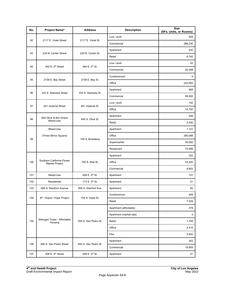| No. | Project Name <sup>a</sup>                    | <b>Address</b>             | <b>Description</b>      | <b>Size</b><br>(SFs, Units, or Rooms) |
|-----|----------------------------------------------|----------------------------|-------------------------|---------------------------------------|
|     |                                              | 2117 E. Violet St.         | Live / work             | 509                                   |
| 92  | 2117 E. Violet Street                        |                            | Commercial              | 288,230                               |
|     |                                              |                            | Apartment               | 430                                   |
| 93  | 234 N. Center Street                         | 220 N. Center St.          | Retail                  | 8,742                                 |
|     |                                              | 940 E. 4 <sup>th</sup> St. | Live / work             | 93                                    |
| 94  | 940 E. 4 <sup>th</sup> Street                |                            | Commercial              | 20,248                                |
|     |                                              |                            | Condominium             | 4                                     |
| 95  | 2159 E. Bay Street                           | 2159 E. Bay St.            | Office                  | 222,000                               |
|     |                                              |                            | Apartment               | 994                                   |
| 96  | 333 S. Alameda Street                        | 333 S. Alameda St.         | Commercial              | 99,300                                |
|     |                                              |                            | Live / work             | 140                                   |
| 97  | 641 Imperial Street                          | 641 Imperial St.           | Office                  | 14,700                                |
|     | 845 Olive & 842 Grand                        |                            | Apartment               | 208                                   |
| 98  | Mixed-Use                                    | 845 S. Olive St.           | Retail                  | 2,430                                 |
|     | Mixed-Use                                    | 100 S. Broadway            | Apartment               | 1,127                                 |
|     | (Times Mirror Square)                        |                            | Office                  | 285,088                               |
| 99  |                                              |                            | Supermarket             | 50,000                                |
|     |                                              |                            | Restaurant              | 75,589                                |
|     |                                              |                            | Apartment               | 322                                   |
| 100 | Southern California Flower<br>Market Project | 755 S. Wall St.            | Office                  | 53,200                                |
|     |                                              |                            | Commercial              | 8,820                                 |
| 101 | Mixed-Use                                    | 609 E. 5 <sup>th</sup> St. | Apartment               | 151                                   |
| 102 | Residential                                  | 713 E. 5th St.             | Apartment               | 51                                    |
| 103 | 656 S. Stanford Avenue                       | 656 S. Stanford Ave.       | Apartment               | 82                                    |
|     |                                              |                            | Condominium             | 409                                   |
| 104 | 8 <sup>th</sup> / Grand / Hope Project       | 754 S. Hope St.            | Retail                  | 7,329                                 |
|     |                                              |                            | Apartment (affordable)  | 378                                   |
|     |                                              |                            | Apartment (market-rate) | 4                                     |
| 105 | Weingart Tower - Affordable<br>Housing       | 554 S. San Pedro St.       | Retail                  | 1,758                                 |
|     |                                              |                            | Office                  | 4,410                                 |
|     |                                              |                            | Flex                    | 5,932                                 |
|     |                                              |                            | Apartment               | 303                                   |
| 106 | 600 S. San Pedro Street                      | 600 S. San Pedro St.       | Commercial              | 19,909                                |
| 107 | 508 E. 4 <sup>th</sup> Street                | 508 E. 4 <sup>th</sup> St. | Apartment               | 41                                    |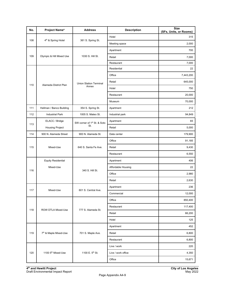| No. | Project Name <sup>a</sup>      | <b>Address</b>                          | <b>Description</b> | <b>Size</b><br>(SFs, Units, or Rooms) |
|-----|--------------------------------|-----------------------------------------|--------------------|---------------------------------------|
| 108 | 4 <sup>th</sup> & Spring Hotel | 361 S. Spring St.                       | Hotel              | 315                                   |
|     |                                |                                         | Meeting space      | 2,000                                 |
|     |                                |                                         | Apartment          | 700                                   |
| 109 | Olympic & Hill Mixed Use       | 1030 S. Hill St.                        | Retail             | 7,000                                 |
|     |                                |                                         | Restaurant         | 7,000                                 |
|     |                                |                                         | Residential        | 22                                    |
|     |                                |                                         | Office             | 7,443,200                             |
| 110 | Alameda District Plan          | <b>Union Station Terminal</b>           | Retail             | 645,000                               |
|     |                                | Annex                                   | Hotel              | 750                                   |
|     |                                |                                         | Restaurant         | 20,000                                |
|     |                                |                                         | Museum             | 70,000                                |
| 111 | Hellman / Banco Building       | 354 S. Spring St.                       | Apartment          | 212                                   |
| 112 | <b>Industrial Park</b>         | 1005 S. Mateo St.                       | Industrial park    | 94,849                                |
|     | ELACC / Bridge                 | SW corner of 1 <sup>st</sup> St. & Soto | Apartment          | 65                                    |
| 113 | <b>Housing Project</b>         | St.                                     | Retail             | 5,000                                 |
| 114 | 900 N. Alameda Street          | 900 N. Alameda St.                      | Data center        | 179,900                               |
|     | 115<br>Mixed-Use               | 640 S. Santa Fe Ave.                    | Office             | 91,185                                |
|     |                                |                                         | Retail             | 9,430                                 |
|     |                                |                                         | Restaurant         | 6,550                                 |
|     | <b>Equity Residential</b>      | 340 S. Hill St.                         | Apartment          | 406                                   |
|     | Mixed-Use                      |                                         | Affordable Housing | 22                                    |
| 116 |                                |                                         | Office             | 2,980                                 |
|     |                                |                                         | Retail             | 2,630                                 |
|     |                                |                                         | Apartment          | 236                                   |
| 117 | Mixed-Use                      | 601 S. Central Ave.                     | Commercial         | 12,000                                |
|     |                                |                                         | Office             | 850,400                               |
|     |                                |                                         | Restaurant         | 117,400                               |
| 118 | ROW DTLA Mixed-Use             | 777 S. Alameda St.                      | Retail             | 66,200                                |
|     |                                |                                         | Hotel              | 125                                   |
|     |                                |                                         | Apartment          | 452                                   |
| 119 | 7th & Maple Mixed-Use          | 701 S. Maple Ave.                       | Retail             | 6,800                                 |
|     |                                |                                         | Restaurant         | 6,800                                 |
|     |                                |                                         | Live / work        | 220                                   |
| 120 | 1100 5 <sup>th</sup> Mixed-Use | 1100 E. 5 <sup>th</sup> St.             | Live / work office | 4,350                                 |
|     |                                |                                         | Office             | 15,671                                |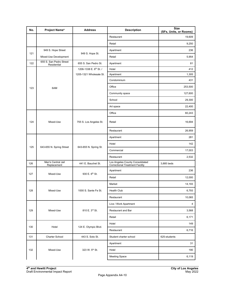| No.                             | Project Name <sup>a</sup>              | <b>Address</b>          | <b>Description</b>                                                        | <b>Size</b><br>(SFs, Units, or Rooms) |
|---------------------------------|----------------------------------------|-------------------------|---------------------------------------------------------------------------|---------------------------------------|
|                                 |                                        |                         | Restaurant                                                                | 19,609                                |
|                                 |                                        |                         | Retail                                                                    | 9,250                                 |
|                                 | 949 S. Hope Street                     |                         | Apartment                                                                 | 236                                   |
| 121                             | Mixed-Use Development                  | 949 S. Hope St.         | Retail                                                                    | 5,954                                 |
| 122                             | 655 S. San Pedro Street<br>Residential | 655 S. San Pedro St.    | Apartment                                                                 | 81                                    |
|                                 |                                        | 1206-1338 E. 6th St. /  | Hotel                                                                     | 412                                   |
|                                 |                                        | 1205-1321 Wholesale St. | Apartment                                                                 | 1,305                                 |
|                                 |                                        |                         | Condominium                                                               | 431                                   |
| 123                             | 6AM                                    |                         | Office                                                                    | 253,500                               |
|                                 |                                        |                         | Community space                                                           | 127,600                               |
|                                 |                                        |                         | School                                                                    | 29,300                                |
|                                 |                                        |                         | Art space                                                                 | 22,400                                |
|                                 |                                        |                         | Office                                                                    | 60,243                                |
| 124                             | Mixed-Use                              | 755 S. Los Angeles St.  | Retail                                                                    | 16,694                                |
|                                 |                                        |                         | Restaurant                                                                | 26,959                                |
|                                 |                                        |                         | Apartment                                                                 | 281                                   |
|                                 |                                        |                         | Hotel                                                                     | 142                                   |
| 125<br>643-655 N. Spring Street | 643-655 N. Spring St.                  | Commercial              | 17,003                                                                    |                                       |
|                                 |                                        |                         | Restaurant                                                                | 2,532                                 |
| 126                             | Men's Central Jail<br>Replacement      | 441 E. Bauchet St.      | Los Angeles County Consolidated<br><b>Correctional Treatment Facility</b> | 3,885 beds                            |
|                                 |                                        | 930 E. 6th St.          | Apartment                                                                 | 236                                   |
| 127                             | Mixed-Use                              |                         | Retail                                                                    | 12,000                                |
|                                 |                                        |                         | Market                                                                    | 14,193                                |
| 128                             | Mixed-Use                              | 1000 S. Sante Fe St.    | Health Club                                                               | 6,793                                 |
|                                 |                                        |                         | Restaurant                                                                | 10,065                                |
|                                 |                                        |                         | Live / Work Apartment                                                     | 4                                     |
| 129                             | Mixed-Use                              | 810 E. 3rd St.          | Restaurant and Bar                                                        | 3,568                                 |
|                                 |                                        |                         | Retail                                                                    | 6,171                                 |
|                                 |                                        |                         | Hotel                                                                     | 149                                   |
| 130                             | Hotel                                  | 124 E. Olympic Blvd.    | Restaurant                                                                | 6,716                                 |
| 131                             | Charter School                         | 443 S. Soto St.         | Student charter school                                                    | 625-students                          |
|                                 |                                        |                         | Apartment                                                                 | 31                                    |
| 132                             | Mixed-Use                              | 323 W. 5th St.          | Hotel                                                                     | 190                                   |
|                                 |                                        |                         | <b>Meeting Space</b>                                                      | 6,119                                 |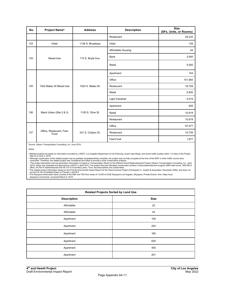| No. | Project Name <sup>a</sup>         | <b>Address</b>     | <b>Description</b> | <b>Size</b><br>(SFs, Units, or Rooms) |
|-----|-----------------------------------|--------------------|--------------------|---------------------------------------|
|     |                                   |                    | Restaurant         | 29,232                                |
| 133 | Hotel                             | 1138 S. Broadway   | Hotel              | 138                                   |
|     |                                   |                    | Affordable Housing | 44                                    |
| 134 | Mixed-Use                         | 110 S. Boyle Ave.  | <b>Bank</b>        | 3,000                                 |
|     |                                   |                    | Retail             | 5,000                                 |
|     |                                   | 1024 S. Mateo St.  | Apartment          | 104                                   |
|     |                                   |                    | Office             | 101,983                               |
| 135 | 1024 Mateo St Mixed-Use           |                    | Restaurant         | 16,729                                |
|     |                                   |                    | Retail             | 5,830                                 |
|     |                                   |                    | Light Industrial   | 5,519                                 |
|     | Mack Urban (Site 2 & 3)           | 1105 S. Olive St.  | Apartment          | 935                                   |
| 136 |                                   |                    | Retail             | 10,919                                |
|     |                                   |                    | Restaurant         | 10,919                                |
|     |                                   | 431 S. Colyton St. | Office             | 97,577                                |
| 137 | Office, Restaurant, Fast-<br>Food |                    | Restaurant         | 10,739                                |
|     |                                   |                    | Fast-Food          | 1,977                                 |

Source: Gibson Transportation Consulting, Inc. June 2019.

Notes:

ªRelated projects list based on information provided by LADOT, Los Angeles Department of City Planning, recent case filings, and recent traffic studies within 1.5 miles of the Project<br>Site as of June 4, 2019.

Although construction of the related project may be p.<br>conducted. Therefore, the related project was consided<br>The project description and trip generation informatic<br>2010), which was reviewed and approved by LADOT<br>office, 3 <sup>6</sup> Although construction of the related project may be partially complete/entirely complete, the project was not fully occupied at the time of the NOP or when traffic counts were<br>conducted. Therefore, the related project

| <b>Related Projects Sorted by Land Use</b> |             |  |
|--------------------------------------------|-------------|--|
| <b>Description</b>                         | <b>Size</b> |  |
| Affordable                                 | 22          |  |
| Affordable                                 | 44          |  |
| Apartment                                  | 100         |  |
| Apartment                                  | 242         |  |
| Apartment                                  | 160         |  |
| Apartment                                  | 635         |  |
| Apartment                                  | 450         |  |
| Apartment                                  | 201         |  |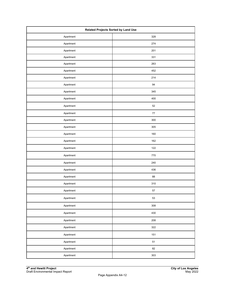| <b>Related Projects Sorted by Land Use</b> |            |  |
|--------------------------------------------|------------|--|
| Apartment                                  | 328        |  |
| Apartment                                  | 274        |  |
| Apartment                                  | 201        |  |
| Apartment                                  | 331        |  |
| Apartment                                  | 263        |  |
| Apartment                                  | 452        |  |
| Apartment                                  | 214        |  |
| Apartment                                  | 94         |  |
| Apartment                                  | 345        |  |
| Apartment                                  | 400        |  |
| Apartment                                  | 52         |  |
| Apartment                                  | $77\,$     |  |
| Apartment                                  | 300        |  |
| Apartment                                  | 305        |  |
| Apartment                                  | 160        |  |
| Apartment                                  | 162        |  |
| Apartment                                  | 122        |  |
| Apartment                                  | 770        |  |
| Apartment                                  | 240        |  |
| Apartment                                  | 436        |  |
| Apartment                                  | 88         |  |
| Apartment                                  | 310        |  |
| Apartment                                  | 57         |  |
| Apartment                                  | 53         |  |
| Apartment                                  | 308        |  |
| Apartment                                  | 430        |  |
| Apartment                                  | 208        |  |
| Apartment                                  | 322        |  |
| Apartment                                  | 151        |  |
| Apartment                                  | ${\bf 51}$ |  |
| Apartment                                  | 82         |  |
| Apartment                                  | 303        |  |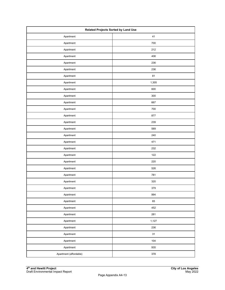| <b>Related Projects Sorted by Land Use</b> |       |  |
|--------------------------------------------|-------|--|
| Apartment                                  | 41    |  |
| Apartment                                  | 700   |  |
| Apartment                                  | 212   |  |
| Apartment                                  | 406   |  |
| Apartment                                  | 236   |  |
| Apartment                                  | 236   |  |
| Apartment                                  | 81    |  |
| Apartment                                  | 1,305 |  |
| Apartment                                  | 600   |  |
| Apartment                                  | 300   |  |
| Apartment                                  | 667   |  |
| Apartment                                  | 700   |  |
| Apartment                                  | 877   |  |
| Apartment                                  | 239   |  |
| Apartment                                  | 589   |  |
| Apartment                                  | 240   |  |
| Apartment                                  | 471   |  |
| Apartment                                  | 232   |  |
| Apartment                                  | 122   |  |
| Apartment                                  | 220   |  |
| Apartment                                  | 526   |  |
| Apartment                                  | 781   |  |
| Apartment                                  | 320   |  |
| Apartment                                  | 379   |  |
| Apartment                                  | 994   |  |
| Apartment                                  | 65    |  |
| Apartment                                  | 452   |  |
| Apartment                                  | 281   |  |
| Apartment                                  | 1,127 |  |
| Apartment                                  | 236   |  |
| Apartment                                  | 31    |  |
| Apartment                                  | 104   |  |
| Apartment                                  | 935   |  |
| Apartment (affordable)                     | 378   |  |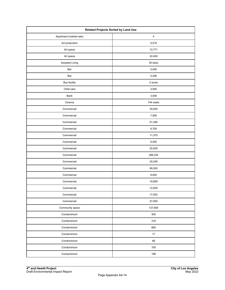| <b>Related Projects Sorted by Land Use</b> |                         |  |
|--------------------------------------------|-------------------------|--|
| Apartment (market-rate)                    | $\overline{\mathbf{4}}$ |  |
| Art production                             | 5,519                   |  |
| Art space                                  | 12,771                  |  |
| Art space                                  | 22,400                  |  |
| Assisted Living                            | 55 beds                 |  |
| Bar                                        | 5,000                   |  |
| Bar                                        | 5,290                   |  |
| <b>Bus facility</b>                        | 2 acres                 |  |
| Child care                                 | 2,500                   |  |
| Bank                                       | 3,000                   |  |
| Cinema                                     | 744 seats               |  |
| Commercial                                 | 30,000                  |  |
| Commercial                                 | 7,900                   |  |
| Commercial                                 | 51,390                  |  |
| Commercial                                 | 6,700                   |  |
| Commercial                                 | 11,375                  |  |
| Commercial                                 | 6,000                   |  |
| Commercial                                 | 25,000                  |  |
| Commercial                                 | 288,230                 |  |
| Commercial                                 | 20,248                  |  |
| Commercial                                 | 99,300                  |  |
| Commercial                                 | 8,820                   |  |
| Commercial                                 | 19,909                  |  |
| Commercial                                 | 12,000                  |  |
| Commercial                                 | 17,003                  |  |
| Commercial                                 | 27,500                  |  |
| Community space                            | 127,600                 |  |
| Condominium                                | 300                     |  |
| Condominium                                | 316                     |  |
| Condominium                                | 660                     |  |
| Condominium                                | 17                      |  |
| Condominium                                | 68                      |  |
| Condominium                                | 100                     |  |
| Condominium                                | 196                     |  |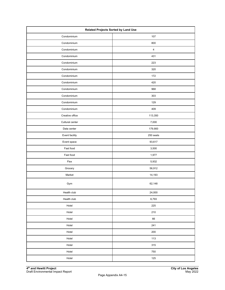| Related Projects Sorted by Land Use |                |  |
|-------------------------------------|----------------|--|
| Condominium                         | 107            |  |
| Condominium                         | 800            |  |
| Condominium                         | $\overline{4}$ |  |
| Condominium                         | 431            |  |
| Condominium                         | 223            |  |
| Condominium                         | 320            |  |
| Condominium                         | 172            |  |
| Condominium                         | 420            |  |
| Condominium                         | 968            |  |
| Condominium                         | 303            |  |
| Condominium                         | 129            |  |
| Condominium                         | 409            |  |
| Creative office                     | 113,350        |  |
| Cultural center                     | 7,000          |  |
| Data center                         | 179,900        |  |
| Event facility                      | 250 seats      |  |
| Event space                         | 93,617         |  |
| Fast food                           | 3,500          |  |
| Fast food                           | 1,977          |  |
| Flex                                | 5,932          |  |
| Grocery                             | 56,912         |  |
| Market                              | 14,193         |  |
| Gym                                 | 62,148         |  |
| Health club                         | 24,000         |  |
| Health club                         | 6,793          |  |
| Hotel                               | 225            |  |
| Hotel                               | 210            |  |
| Hotel                               | 66             |  |
| Hotel                               | 241            |  |
| Hotel                               | 200            |  |
| Hotel                               | 113            |  |
| Hotel                               | 315            |  |
| Hotel                               | 750            |  |
| Hotel                               | 125            |  |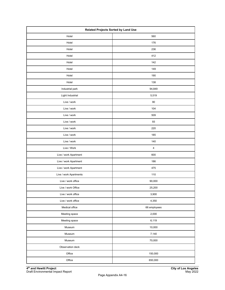| <b>Related Projects Sorted by Land Use</b> |              |  |
|--------------------------------------------|--------------|--|
| Hotel<br>560                               |              |  |
| Hotel                                      | 176          |  |
| Hotel                                      | 236          |  |
| Hotel                                      | 412          |  |
| Hotel                                      | 142          |  |
| Hotel                                      | 149          |  |
| Hotel                                      | 190          |  |
| Hotel                                      | 138          |  |
| Industrial park                            | 94,849       |  |
| Light Industrial                           | 5,519        |  |
| Live / work                                | 90           |  |
| Live / work                                | 104          |  |
| Live / work                                | 509          |  |
| Live / work                                | 93           |  |
| Live / work                                | 220          |  |
| Live / work                                | 185          |  |
| Live / work                                | 140          |  |
| Live / Work                                | $\sqrt{4}$   |  |
| Live / work Apartment                      | 600          |  |
| Live / work Apartment                      | 186          |  |
| Live / work Apartment                      | 475          |  |
| Live / work Apartments                     | 110          |  |
| Live / work office                         | 90,000       |  |
| Live / work Office                         | 25,200       |  |
| Live / work office                         | 3,900        |  |
| Live / work office                         | 4,350        |  |
| Medical office                             | 66 employees |  |
| Meeting space                              | 2,000        |  |
| Meeting space                              | 6,119        |  |
| Museum                                     | 10,000       |  |
| Museum                                     | 7,140        |  |
| Museum                                     | 70,000       |  |
| Observation deck                           |              |  |
| Office                                     | 150,000      |  |
| Office                                     | 650,000      |  |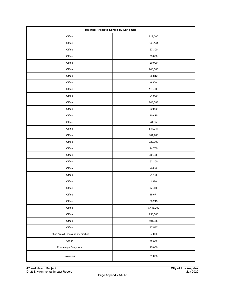| Related Projects Sorted by Land Use   |           |  |
|---------------------------------------|-----------|--|
| Office                                | 712,500   |  |
| Office                                | 549,141   |  |
| Office                                | 27,300    |  |
| Office                                | 75,000    |  |
| Office                                | 20,000    |  |
| Office                                | 243,000   |  |
| Office                                | 65,812    |  |
| Office                                | 6,900     |  |
| Office                                | 110,000   |  |
| Office                                | 94,000    |  |
| Office                                | 243,583   |  |
| Office                                | 52,000    |  |
| Office                                | 10,415    |  |
| Office                                | 944,055   |  |
| Office                                | 534,044   |  |
| Office                                | 101,983   |  |
| Office                                | 222,000   |  |
| Office                                | 14,700    |  |
| Office                                | 285,088   |  |
| Office                                | 53,200    |  |
| Office                                | 4,410     |  |
| Office                                | 91,185    |  |
| Office                                | 2,980     |  |
| Office                                | 850,400   |  |
| Office                                | 15,671    |  |
| Office                                | 60,243    |  |
| Office                                | 7,443,200 |  |
| Office                                | 253,500   |  |
| Office                                | 101,983   |  |
| Office                                | 97,577    |  |
| Office / retail / restaurant / market | 57,000    |  |
| Other                                 | 9,000     |  |
| Pharmacy / Drugstore                  | 25,000    |  |
| Private club                          | 71,078    |  |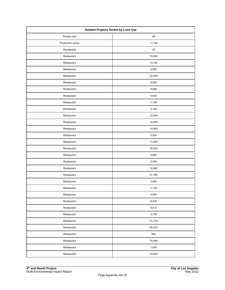| <b>Related Projects Sorted by Land Use</b> |        |  |
|--------------------------------------------|--------|--|
| Private club                               | 48     |  |
| Production space                           | 11,736 |  |
| Residential                                | 22     |  |
| Restaurant                                 | 15,000 |  |
| Restaurant                                 | 13,742 |  |
| Restaurant                                 | 6,850  |  |
| Restaurant                                 | 52,000 |  |
| Restaurant                                 | 8,500  |  |
| Restaurant                                 | 9,680  |  |
| Restaurant                                 | 5,000  |  |
| Restaurant                                 | 7,149  |  |
| Restaurant                                 | 5,700  |  |
| Restaurant                                 | 12,000 |  |
| Restaurant                                 | 10,000 |  |
| Restaurant                                 | 14,500 |  |
| Restaurant                                 | 3,500  |  |
| Restaurant                                 | 11,000 |  |
| Restaurant                                 | 20,000 |  |
| Restaurant                                 | 5,600  |  |
| Restaurant                                 | 2,400  |  |
| Restaurant                                 | 12,682 |  |
| Restaurant                                 | 27,780 |  |
| Restaurant                                 | 3,500  |  |
| Restaurant                                 | 2,130  |  |
| Restaurant                                 | 4,000  |  |
| Restaurant                                 | 8,430  |  |
| Restaurant                                 | 8,515  |  |
| Restaurant                                 | 3,750  |  |
| Restaurant                                 | 31,719 |  |
| Restaurant                                 | 89,576 |  |
| Restaurant                                 | 900    |  |
| Restaurant                                 | 75,589 |  |
| Restaurant                                 | 7,000  |  |
| Restaurant                                 | 20,000 |  |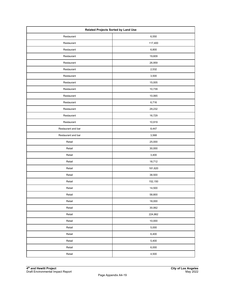| Related Projects Sorted by Land Use |         |  |
|-------------------------------------|---------|--|
| Restaurant                          | 6,550   |  |
| Restaurant                          | 117,400 |  |
| Restaurant                          | 6,800   |  |
| Restaurant                          | 19,609  |  |
| Restaurant                          | 26,959  |  |
| Restaurant                          | 2,532   |  |
| Restaurant                          | 3,500   |  |
| Restaurant                          | 15,005  |  |
| Restaurant                          | 10,739  |  |
| Restaurant                          | 10,065  |  |
| Restaurant                          | 6,716   |  |
| Restaurant                          | 29,232  |  |
| Restaurant                          | 16,729  |  |
| Restaurant                          | 10,919  |  |
| Restaurant and bar                  | 8,447   |  |
| Restaurant and bar                  | 3,568   |  |
| Retail                              | 25,000  |  |
| Retail                              | 30,000  |  |
| Retail                              | 3,400   |  |
| Retail                              | 18,712  |  |
| Retail                              | 181,620 |  |
| Retail                              | 38,500  |  |
| Retail                              | 152,150 |  |
| Retail                              | 14,500  |  |
| Retail                              | 58,800  |  |
| Retail                              | 18,000  |  |
| Retail                              | 30,062  |  |
| Retail                              | 224,862 |  |
| Retail                              | 10,000  |  |
| Retail                              | 5,000   |  |
| Retail                              | 6,400   |  |
| Retail                              | 5,400   |  |
| Retail                              | 6,000   |  |
| Retail                              | 4,500   |  |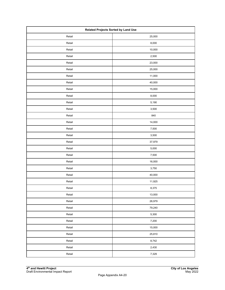| <b>Related Projects Sorted by Land Use</b> |        |  |
|--------------------------------------------|--------|--|
| Retail                                     | 25,000 |  |
| Retail                                     | 8,000  |  |
| Retail                                     | 10,000 |  |
| Retail                                     | 2,500  |  |
| Retail                                     | 23,000 |  |
| Retail                                     | 25,000 |  |
| Retail                                     | 11,000 |  |
| Retail                                     | 40,000 |  |
| Retail                                     | 15,000 |  |
| Retail                                     | 8,000  |  |
| Retail                                     | 5,190  |  |
| Retail                                     | 3,500  |  |
| Retail                                     | 840    |  |
| Retail                                     | 14,000 |  |
| Retail                                     | 7,500  |  |
| Retail                                     | 3,500  |  |
| Retail                                     | 37,979 |  |
| Retail                                     | 5,000  |  |
| Retail                                     | 7,500  |  |
| Retail                                     | 16,000 |  |
| Retail                                     | 3,750  |  |
| Retail                                     | 40,000 |  |
| Retail                                     | 11,925 |  |
| Retail                                     | 8,375  |  |
| Retail                                     | 13,000 |  |
| Retail                                     | 26,979 |  |
| Retail                                     | 79,240 |  |
| Retail                                     | 5,300  |  |
| Retail                                     | 7,200  |  |
| Retail                                     | 15,000 |  |
| Retail                                     | 25,810 |  |
| Retail                                     | 8,742  |  |
| Retail                                     | 2,430  |  |
| Retail                                     | 7,329  |  |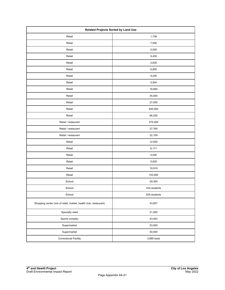| Related Projects Sorted by Land Use                              |              |  |
|------------------------------------------------------------------|--------------|--|
| Retail                                                           | 1,758        |  |
| Retail                                                           | 7,000        |  |
| Retail                                                           | 5,000        |  |
| Retail                                                           | 9,430        |  |
| Retail                                                           | 2,630        |  |
| Retail                                                           | 6,800        |  |
| Retail                                                           | 9,250        |  |
| Retail                                                           | 5,954        |  |
| Retail                                                           | 16,694       |  |
| Retail                                                           | 35,000       |  |
| Retail                                                           | 27,000       |  |
| Retail                                                           | 645,000      |  |
| Retail                                                           | 66,200       |  |
| Retail / restaurant                                              | 275,000      |  |
| Retail / restaurant                                              | 27,765       |  |
| Retail / restaurant                                              | 22,109       |  |
| Retail                                                           | 12,000       |  |
| Retail                                                           | 6,171        |  |
| Retail                                                           | 5,000        |  |
| Retail                                                           | 5,830        |  |
| Retail                                                           | 10,919       |  |
| Retail                                                           | 153,000      |  |
| School                                                           | 29,300       |  |
| School                                                           | 532-students |  |
| School                                                           | 625-students |  |
| Shopping center (mix of retail, market, health club, restaurant) | 43,657       |  |
| Specialty retail                                                 | 21,000       |  |
| Sports complex                                                   | 43,453       |  |
| Supermarket                                                      | 53,000       |  |
| Supermarket                                                      | 50,000       |  |
| <b>Correctional Facility</b>                                     | 3,885 beds   |  |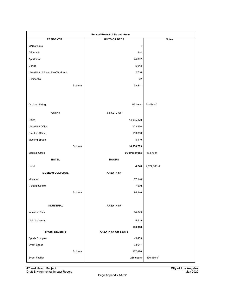| <b>Related Project Units and Areas</b> |                            |              |
|----------------------------------------|----------------------------|--------------|
| <b>RESIDENTIAL</b>                     | <b>UNITS OR BEDS</b>       | <b>Notes</b> |
| Market-Rate                            | 4                          |              |
| Affordable                             | 444                        |              |
| Apartment                              | 24,382                     |              |
| Condo                                  | 5,943                      |              |
| Live/Work Unit and Live/Work Apt.      | 2,716                      |              |
| Residential                            | 22                         |              |
| Subtotal                               | 33,511                     |              |
|                                        |                            |              |
|                                        |                            |              |
| Assisted Living                        | 55 beds                    | 23,484 sf    |
| <b>OFFICE</b>                          | <b>AREA IN SF</b>          |              |
| Office                                 | 14,085,870                 |              |
| Live/Work Office                       | 123,450                    |              |
| Creative Office                        | 113,350                    |              |
| <b>Meeting Space</b>                   | 8,119                      |              |
| Subtotal                               | 14,330,789                 |              |
| <b>Medical Office</b>                  | 66 employees               | 18,876 sf    |
| <b>HOTEL</b>                           | <b>ROOMS</b>               |              |
| Hotel                                  | 4,248                      | 2,124,000 sf |
| MUSEUM/CULTURAL                        | <b>AREA IN SF</b>          |              |
| Museum                                 | 87,140                     |              |
| <b>Cultural Center</b>                 | 7,000                      |              |
| Subtotal                               | 94,140                     |              |
|                                        |                            |              |
| <b>INDUSTRIAL</b>                      | <b>AREA IN SF</b>          |              |
| <b>Industrial Park</b>                 | 94,849                     |              |
| Light Industrial                       | 5,519                      |              |
|                                        | 100,368                    |              |
| <b>SPORTS/EVENTS</b>                   | <b>AREA IN SF OR SEATS</b> |              |
| Sports Complex                         | 43,453                     |              |
| Event Space                            | 93,617                     |              |
| Subtotal                               | 137,070                    |              |
| <b>Event Facility</b>                  | 250 seats                  | 696,960 sf   |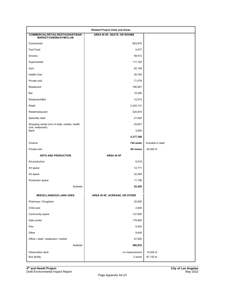| <b>Related Project Units and Areas</b>                              |                               |                    |
|---------------------------------------------------------------------|-------------------------------|--------------------|
| COMMERCIAL/RETAIL/RESTAURANT/BAR/<br><b>MARKET/CINEMA/GYM/CLUB</b>  | AREA IN SF, SEATS, OR ROOMS   |                    |
| Commercial                                                          | 603,875                       |                    |
| Fast Food                                                           | 5,477                         |                    |
| Grocery                                                             | 56,912                        |                    |
| Supermarket                                                         | 117,193                       |                    |
| Gym                                                                 | 62,148                        |                    |
| <b>Health Club</b>                                                  | 30,793                        |                    |
| Private club                                                        | 71,078                        |                    |
| Restaurant                                                          | 780,947                       |                    |
| Bar                                                                 | 10,290                        |                    |
| Restaurant/Bar                                                      | 12,015                        |                    |
| Retail                                                              | 2,234,131                     |                    |
| Retail/restaurant                                                   | 324,874                       |                    |
| Specialty retail                                                    | 21,000                        |                    |
| Shopping center (mix of retail, market, health<br>club, restaurant) | 43,657                        |                    |
| Bank                                                                | 3,000                         |                    |
|                                                                     | 4,377,390                     |                    |
| Cinema                                                              | 744 seats                     | Included in retail |
| Private club                                                        | 48 rooms                      | 24,000 sf          |
| <b>ARTS AND PRODUCTION</b>                                          | <b>AREA IN SF</b>             |                    |
| Art production                                                      | 5,519                         |                    |
| Art space                                                           | 12,771                        |                    |
| Art space                                                           | 22,400                        |                    |
| Production space                                                    | 11,736                        |                    |
| Subtotal                                                            | 52,426                        |                    |
| <b>MISCELLANEOUS LAND USES</b>                                      | AREA IN SF, ACREAGE, OR OTHER |                    |
| Pharmacy / Drugstore                                                | 25,000                        |                    |
| Child care                                                          | 2,500                         |                    |
| Community space                                                     | 127,600                       |                    |
| Data center                                                         | 179,900                       |                    |
| Flex                                                                | 5,932                         |                    |
| Other                                                               | 9,000                         |                    |
| Office / retail / restaurant / market                               | 57,000                        |                    |
| Subtotal                                                            | 406,932                       |                    |
| Observation deck                                                    | no measurement                | 13,000 sf          |
| <b>Bus facility</b>                                                 | 2 acres                       | 87,120 sf          |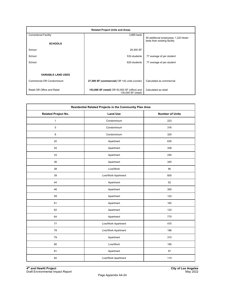| <b>Related Project Units and Areas</b> |                                                                      |                                      |  |
|----------------------------------------|----------------------------------------------------------------------|--------------------------------------|--|
| <b>Correctional Facility</b>           | 3,885 beds                                                           | 50 additional employees; 1,223 fewer |  |
| <b>SCHOOLS</b>                         |                                                                      | beds than existing facility          |  |
| School                                 | 29,300 SF                                                            |                                      |  |
| School                                 | 532-students                                                         | 77 average sf per student            |  |
| School                                 | 625-students                                                         | 77 average sf per student            |  |
|                                        |                                                                      |                                      |  |
| <b>VARIABLE LAND USES</b>              |                                                                      |                                      |  |
| Commercial OR Condominium              | 27,500 SF (commercial) OR 142 units (condo)                          | Calculated as commercial             |  |
| Retail OR Office and Retail            | 153,000 SF (retail) OR 50,000 SF (office) and<br>130,000 SF (retail) | Calculated as retail                 |  |

| Residential Related Projects in the Community Plan Area |                     |                        |  |
|---------------------------------------------------------|---------------------|------------------------|--|
| <b>Related Project No.</b>                              | <b>Land Use</b>     | <b>Number of Units</b> |  |
| $\mathbf{1}$                                            | Condominium         | 223                    |  |
| 5                                                       | Condominium         | 316                    |  |
| 6                                                       | Condominium         | 320                    |  |
| 20                                                      | Apartment           | 635                    |  |
| 25                                                      | Apartment           | 328                    |  |
| 33                                                      | Apartment           | 240                    |  |
| 36                                                      | Apartment           | 345                    |  |
| 38                                                      | Live/Work           | $90\,$                 |  |
| 39                                                      | Live/Work Apartment | 600                    |  |
| 44                                                      | Apartment           | 52                     |  |
| 46                                                      | Apartment           | 300                    |  |
| 59                                                      | Apartment           | 122                    |  |
| 61                                                      | Apartment           | 162                    |  |
| 62                                                      | Apartment           | 122                    |  |
| 64                                                      | Apartment           | 770                    |  |
| 77                                                      | Live/Work Apartment | 475                    |  |
| 78                                                      | Live/Work Apartment | 186                    |  |
| 79                                                      | Apartment           | 310                    |  |
| 80                                                      | Live/Work           | 185                    |  |
| 81                                                      | Apartment           | 57                     |  |
| 82                                                      | Live/Work Apartment | 110                    |  |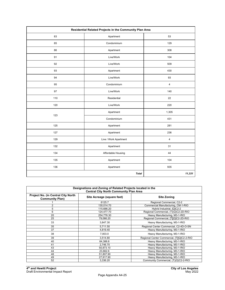| Residential Related Projects in the Community Plan Area |                       |            |
|---------------------------------------------------------|-----------------------|------------|
| 83                                                      | Apartment             | 53         |
| 85                                                      | Condominium           | 129        |
| 86                                                      | Apartment             | 308        |
| 91                                                      | Live/Work             | 104        |
| 92                                                      | Live/Work             | 509        |
| 93                                                      | Apartment             | 430        |
| 94                                                      | Live/Work             | 93         |
| 95                                                      | Condominium           | 4          |
| 97                                                      | Live/Work             | 140        |
| 110                                                     | Residential           | 22         |
| 120                                                     | Live/Work             | 220        |
|                                                         | Apartment             | 1,305      |
| 123                                                     | Condominium           | 431        |
| 125                                                     | Apartment             | 281        |
| 127                                                     | Apartment             | 236        |
| 129                                                     | Live / Work Apartment | $\sqrt{4}$ |
| 132                                                     | Apartment             | 31         |
| 134                                                     | Affordable Housing    | 44         |
| 135                                                     | Apartment             | 104        |
| 136                                                     | Apartment             | 935        |
|                                                         | <b>Total</b>          | 11,331     |

| Designations and Zoning of Related Projects located in the<br><b>Central City North Community Plan Area</b> |                            |                                            |  |
|-------------------------------------------------------------------------------------------------------------|----------------------------|--------------------------------------------|--|
| Project No. (in Central City North<br><b>Community Plan)</b>                                                | Site Acreage (square feet) | <b>Site Zoning</b>                         |  |
|                                                                                                             | 6125.7                     | Regional Commercial, C2-2                  |  |
|                                                                                                             | 130.014.70                 | Commercial Manufacturing, CM-1-RIO         |  |
| 5                                                                                                           | 115,686.20                 | Hybrid Industrial, [Q]C2-2                 |  |
| 6                                                                                                           | 124.477.70                 | Regional Commercial, (T)(Q)C2-2D-RIO       |  |
| 20                                                                                                          | 254,776.30                 | Heavy Manufacturing, M3-1-RIO              |  |
| 25                                                                                                          | 79,066.20                  | Regional Commercial, [T][Q]C2-2D-RIO       |  |
| 33                                                                                                          | 3,847.30                   | Heavy Manufacturing, M3-1-RIO              |  |
| 35                                                                                                          | 5,711.50                   | Regional Center Commercial, C2-4D-O-SN     |  |
| 37                                                                                                          | 4,819.40                   | Heavy Manufacturing, M3-1-RIO              |  |
| 38                                                                                                          | 7,003.0                    | Heavy Manufacturing, M3-1-RIO              |  |
| 39                                                                                                          | 3.514.80                   | Regional Center Commercial, [T][Q]C2-2-RIO |  |
| 40                                                                                                          | 64,388.8                   | Heavy Manufacturing, M3-1-RIO              |  |
| 41                                                                                                          | 2,746.70                   | Heavy Manufacturing, M3-1-RIO              |  |
| 43                                                                                                          | 50,873.10                  | Heavy Manufacturing, M3-1-RIO              |  |
| 44                                                                                                          | 23,662.6                   | Heavy Manufacturing, M3-1-RIO              |  |
| 48                                                                                                          | 51,807.90                  | Heavy Manufacturing, M3-1-RIO              |  |
| 49                                                                                                          | 27,917.90                  | Heavy Manufacturing, M3-1-RIO              |  |
| 52                                                                                                          | 3,336.20                   | Community Commercial, (T)(Q)C2-2-RIO       |  |